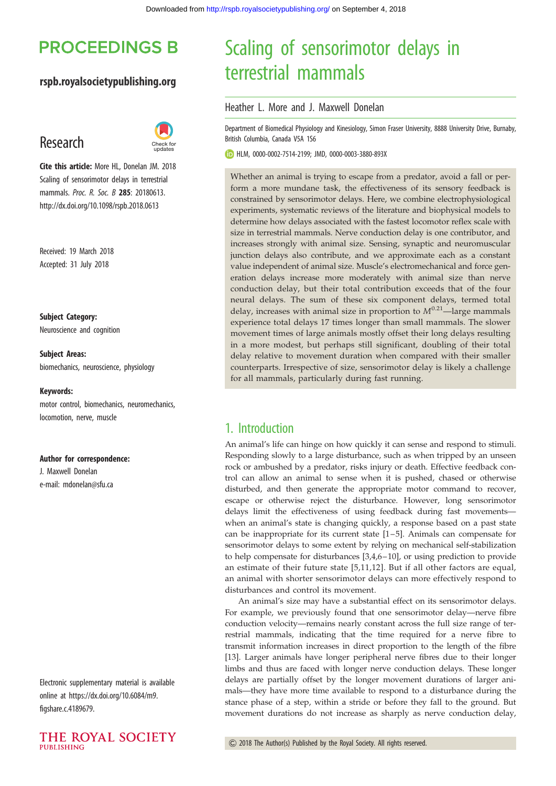# **PROCEEDINGS B**

### rspb.royalsocietypublishing.org

# Research



Cite this article: More HL, Donelan JM. 2018 Scaling of sensorimotor delays in terrestrial mammals. *Proc. R. Soc. B* 285: 20180613. http://dx.doi.org/10.1098/rspb.2018.0613

Received: 19 March 2018 Accepted: 31 July 2018

Subject Category: Neuroscience and cognition

Subject Areas: biomechanics, neuroscience, physiology

#### Keywords:

motor control, biomechanics, neuromechanics, locomotion, nerve, muscle

#### Author for correspondence:

J. Maxwell Donelan e-mail: [mdonelan@sfu.ca](mailto:mdonelan@sfu.ca)

Electronic supplementary material is available online at [https://dx.doi.org/10.6084/m9.](https://dx.doi.org/10.6084/m9.figshare.c.4189679) [figshare.c.4189679](https://dx.doi.org/10.6084/m9.figshare.c.4189679).



# Scaling of sensorimotor delays in terrestrial mammals

#### Heather L. More and J. Maxwell Donelan

Department of Biomedical Physiology and Kinesiology, Simon Fraser University, 8888 University Drive, Burnaby, British Columbia, Canada V5A 1S6

HLM, [0000-0002-7514-2199](http://orcid.org/0000-0002-7514-2199); JMD, [0000-0003-3880-893X](http://orcid.org/0000-0003-3880-893X)

Whether an animal is trying to escape from a predator, avoid a fall or perform a more mundane task, the effectiveness of its sensory feedback is constrained by sensorimotor delays. Here, we combine electrophysiological experiments, systematic reviews of the literature and biophysical models to determine how delays associated with the fastest locomotor reflex scale with size in terrestrial mammals. Nerve conduction delay is one contributor, and increases strongly with animal size. Sensing, synaptic and neuromuscular junction delays also contribute, and we approximate each as a constant value independent of animal size. Muscle's electromechanical and force generation delays increase more moderately with animal size than nerve conduction delay, but their total contribution exceeds that of the four neural delays. The sum of these six component delays, termed total delay, increases with animal size in proportion to  $M^{0.21}$ —large mammals experience total delays 17 times longer than small mammals. The slower movement times of large animals mostly offset their long delays resulting in a more modest, but perhaps still significant, doubling of their total delay relative to movement duration when compared with their smaller counterparts. Irrespective of size, sensorimotor delay is likely a challenge for all mammals, particularly during fast running.

## 1. Introduction

An animal's life can hinge on how quickly it can sense and respond to stimuli. Responding slowly to a large disturbance, such as when tripped by an unseen rock or ambushed by a predator, risks injury or death. Effective feedback control can allow an animal to sense when it is pushed, chased or otherwise disturbed, and then generate the appropriate motor command to recover, escape or otherwise reject the disturbance. However, long sensorimotor delays limit the effectiveness of using feedback during fast movements when an animal's state is changing quickly, a response based on a past state can be inappropriate for its current state [[1](#page-6-0)–[5](#page-6-0)]. Animals can compensate for sensorimotor delays to some extent by relying on mechanical self-stabilization to help compensate for disturbances [\[3,4](#page-6-0),[6](#page-6-0)– [10](#page-6-0)], or using prediction to provide an estimate of their future state [[5,11,12\]](#page-6-0). But if all other factors are equal, an animal with shorter sensorimotor delays can more effectively respond to disturbances and control its movement.

An animal's size may have a substantial effect on its sensorimotor delays. For example, we previously found that one sensorimotor delay—nerve fibre conduction velocity—remains nearly constant across the full size range of terrestrial mammals, indicating that the time required for a nerve fibre to transmit information increases in direct proportion to the length of the fibre [[13\]](#page-6-0). Larger animals have longer peripheral nerve fibres due to their longer limbs and thus are faced with longer nerve conduction delays. These longer delays are partially offset by the longer movement durations of larger animals—they have more time available to respond to a disturbance during the stance phase of a step, within a stride or before they fall to the ground. But movement durations do not increase as sharply as nerve conduction delay,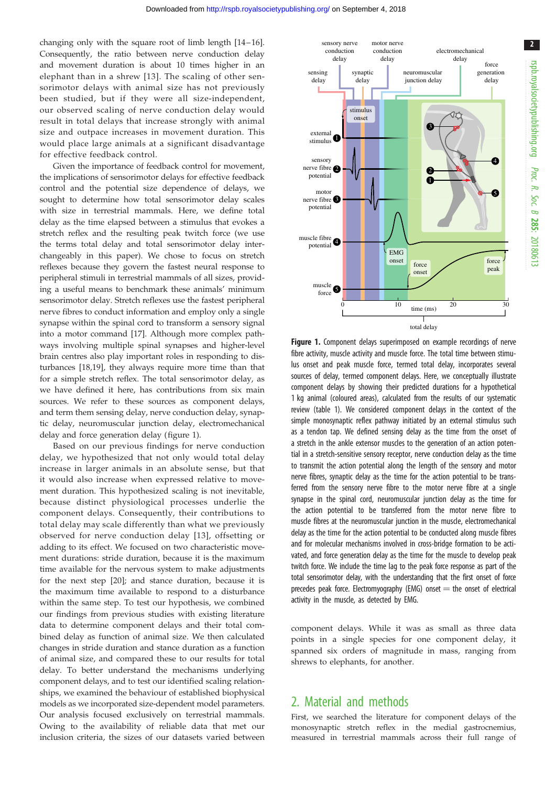changing only with the square root of limb length [[14](#page-6-0)–[16](#page-7-0)]. Consequently, the ratio between nerve conduction delay and movement duration is about 10 times higher in an elephant than in a shrew [[13](#page-6-0)]. The scaling of other sensorimotor delays with animal size has not previously been studied, but if they were all size-independent, our observed scaling of nerve conduction delay would result in total delays that increase strongly with animal size and outpace increases in movement duration. This would place large animals at a significant disadvantage for effective feedback control.

Given the importance of feedback control for movement, the implications of sensorimotor delays for effective feedback control and the potential size dependence of delays, we sought to determine how total sensorimotor delay scales with size in terrestrial mammals. Here, we define total delay as the time elapsed between a stimulus that evokes a stretch reflex and the resulting peak twitch force (we use the terms total delay and total sensorimotor delay interchangeably in this paper). We chose to focus on stretch reflexes because they govern the fastest neural response to peripheral stimuli in terrestrial mammals of all sizes, providing a useful means to benchmark these animals' minimum sensorimotor delay. Stretch reflexes use the fastest peripheral nerve fibres to conduct information and employ only a single synapse within the spinal cord to transform a sensory signal into a motor command [\[17](#page-7-0)]. Although more complex pathways involving multiple spinal synapses and higher-level brain centres also play important roles in responding to disturbances [[18,19\]](#page-7-0), they always require more time than that for a simple stretch reflex. The total sensorimotor delay, as we have defined it here, has contributions from six main sources. We refer to these sources as component delays, and term them sensing delay, nerve conduction delay, synaptic delay, neuromuscular junction delay, electromechanical delay and force generation delay (figure 1).

Based on our previous findings for nerve conduction delay, we hypothesized that not only would total delay increase in larger animals in an absolute sense, but that it would also increase when expressed relative to movement duration. This hypothesized scaling is not inevitable, because distinct physiological processes underlie the component delays. Consequently, their contributions to total delay may scale differently than what we previously observed for nerve conduction delay [[13](#page-6-0)], offsetting or adding to its effect. We focused on two characteristic movement durations: stride duration, because it is the maximum time available for the nervous system to make adjustments for the next step [\[20](#page-7-0)]; and stance duration, because it is the maximum time available to respond to a disturbance within the same step. To test our hypothesis, we combined our findings from previous studies with existing literature data to determine component delays and their total combined delay as function of animal size. We then calculated changes in stride duration and stance duration as a function of animal size, and compared these to our results for total delay. To better understand the mechanisms underlying component delays, and to test our identified scaling relationships, we examined the behaviour of established biophysical models as we incorporated size-dependent model parameters. Our analysis focused exclusively on terrestrial mammals. Owing to the availability of reliable data that met our inclusion criteria, the sizes of our datasets varied between



Figure 1. Component delays superimposed on example recordings of nerve fibre activity, muscle activity and muscle force. The total time between stimulus onset and peak muscle force, termed total delay, incorporates several sources of delay, termed component delays. Here, we conceptually illustrate component delays by showing their predicted durations for a hypothetical 1 kg animal (coloured areas), calculated from the results of our systematic review [\(table 1\)](#page-3-0). We considered component delays in the context of the simple monosynaptic reflex pathway initiated by an external stimulus such as a tendon tap. We defined sensing delay as the time from the onset of a stretch in the ankle extensor muscles to the generation of an action potential in a stretch-sensitive sensory receptor, nerve conduction delay as the time to transmit the action potential along the length of the sensory and motor nerve fibres, synaptic delay as the time for the action potential to be transferred from the sensory nerve fibre to the motor nerve fibre at a single synapse in the spinal cord, neuromuscular junction delay as the time for the action potential to be transferred from the motor nerve fibre to muscle fibres at the neuromuscular junction in the muscle, electromechanical delay as the time for the action potential to be conducted along muscle fibres and for molecular mechanisms involved in cross-bridge formation to be activated, and force generation delay as the time for the muscle to develop peak twitch force. We include the time lag to the peak force response as part of the total sensorimotor delay, with the understanding that the first onset of force precedes peak force. Electromyography (EMG) onset  $=$  the onset of electrical activity in the muscle, as detected by EMG.

component delays. While it was as small as three data points in a single species for one component delay, it spanned six orders of magnitude in mass, ranging from shrews to elephants, for another.

# 2. Material and methods

First, we searched the literature for component delays of the monosynaptic stretch reflex in the medial gastrocnemius, measured in terrestrial mammals across their full range of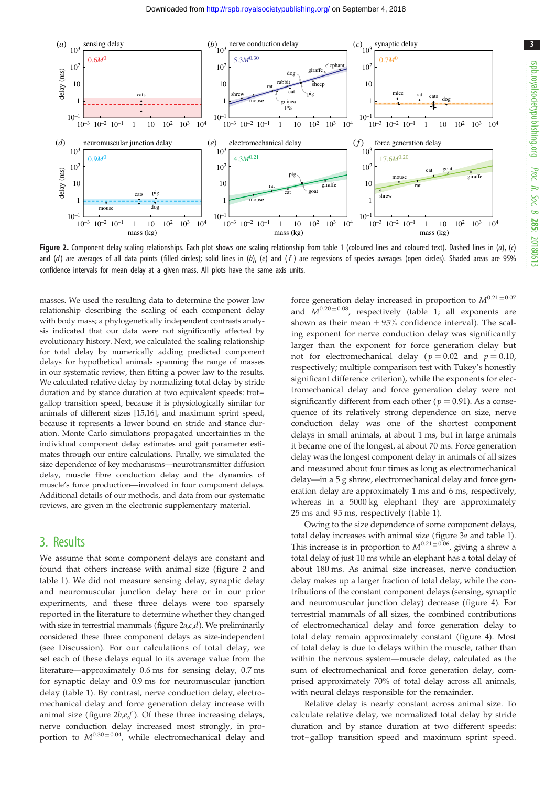<span id="page-2-0"></span>

Figure 2. Component delay scaling relationships. Each plot shows one scaling relationship from [table 1](#page-3-0) (coloured lines and coloured text). Dashed lines in  $(a)$ , (c) and (d) are averages of all data points (filled circles); solid lines in (b), (e) and (f) are regressions of species averages (open circles). Shaded areas are 95% confidence intervals for mean delay at a given mass. All plots have the same axis units.

masses. We used the resulting data to determine the power law relationship describing the scaling of each component delay with body mass; a phylogenetically independent contrasts analysis indicated that our data were not significantly affected by evolutionary history. Next, we calculated the scaling relationship for total delay by numerically adding predicted component delays for hypothetical animals spanning the range of masses in our systematic review, then fitting a power law to the results. We calculated relative delay by normalizing total delay by stride duration and by stance duration at two equivalent speeds: trot – gallop transition speed, because it is physiologically similar for animals of different sizes [\[15,16](#page-7-0)], and maximum sprint speed, because it represents a lower bound on stride and stance duration. Monte Carlo simulations propagated uncertainties in the individual component delay estimates and gait parameter estimates through our entire calculations. Finally, we simulated the size dependence of key mechanisms—neurotransmitter diffusion delay, muscle fibre conduction delay and the dynamics of muscle's force production—involved in four component delays. Additional details of our methods, and data from our systematic reviews, are given in the electronic supplementary material.

## 3. Results

We assume that some component delays are constant and found that others increase with animal size ( figure 2 and [table 1\)](#page-3-0). We did not measure sensing delay, synaptic delay and neuromuscular junction delay here or in our prior experiments, and these three delays were too sparsely reported in the literature to determine whether they changed with size in terrestrial mammals (figure  $2a, c, d$ ). We preliminarily considered these three component delays as size-independent (see Discussion). For our calculations of total delay, we set each of these delays equal to its average value from the literature—approximately 0.6 ms for sensing delay, 0.7 ms for synaptic delay and 0.9 ms for neuromuscular junction delay [\(table 1\)](#page-3-0). By contrast, nerve conduction delay, electromechanical delay and force generation delay increase with animal size (figure  $2b, e, f$ ). Of these three increasing delays, nerve conduction delay increased most strongly, in proportion to  $M^{0.30\pm0.04}$ , while electromechanical delay and force generation delay increased in proportion to  $M^{0.21\pm0.07}$ and  $M^{0.20 \pm 0.08}$ , respectively ([table 1;](#page-3-0) all exponents are shown as their mean  $\pm$  95% confidence interval). The scaling exponent for nerve conduction delay was significantly larger than the exponent for force generation delay but not for electromechanical delay ( $p = 0.02$  and  $p = 0.10$ , respectively; multiple comparison test with Tukey's honestly significant difference criterion), while the exponents for electromechanical delay and force generation delay were not significantly different from each other ( $p = 0.91$ ). As a consequence of its relatively strong dependence on size, nerve conduction delay was one of the shortest component delays in small animals, at about 1 ms, but in large animals it became one of the longest, at about 70 ms. Force generation delay was the longest component delay in animals of all sizes and measured about four times as long as electromechanical delay—in a 5 g shrew, electromechanical delay and force generation delay are approximately 1 ms and 6 ms, respectively, whereas in a 5000 kg elephant they are approximately 25 ms and 95 ms, respectively ([table 1\)](#page-3-0).

Owing to the size dependence of some component delays, total delay increases with animal size ([figure 3](#page-4-0)a and [table 1\)](#page-3-0). This increase is in proportion to  $M^{0.21 \pm 0.06}$ , giving a shrew a total delay of just 10 ms while an elephant has a total delay of about 180 ms. As animal size increases, nerve conduction delay makes up a larger fraction of total delay, while the contributions of the constant component delays (sensing, synaptic and neuromuscular junction delay) decrease [\(figure 4](#page-4-0)). For terrestrial mammals of all sizes, the combined contributions of electromechanical delay and force generation delay to total delay remain approximately constant ([figure 4\)](#page-4-0). Most of total delay is due to delays within the muscle, rather than within the nervous system—muscle delay, calculated as the sum of electromechanical and force generation delay, comprised approximately 70% of total delay across all animals, with neural delays responsible for the remainder.

Relative delay is nearly constant across animal size. To calculate relative delay, we normalized total delay by stride duration and by stance duration at two different speeds: trot –gallop transition speed and maximum sprint speed.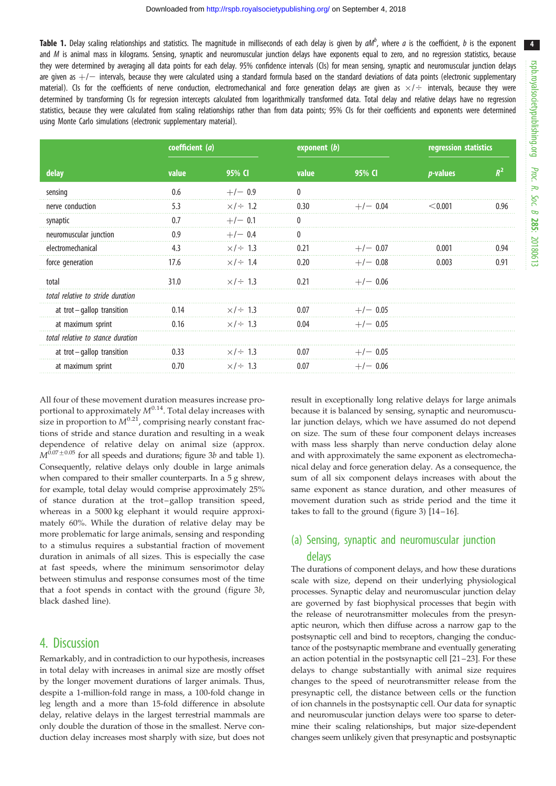<span id="page-3-0"></span>Table 1. Delay scaling relationships and statistics. The magnitude in milliseconds of each delay is given by  $aM^b$ , where  $a$  is the coefficient,  $b$  is the exponent and M is animal mass in kilograms. Sensing, synaptic and neuromuscular junction delays have exponents equal to zero, and no regression statistics, because they were determined by averaging all data points for each delay. 95% confidence intervals (CIs) for mean sensing, synaptic and neuromuscular junction delays are given as  $+/-$  intervals, because they were calculated using a standard formula based on the standard deviations of data points (electronic supplementary material). CIs for the coefficients of nerve conduction, electromechanical and force generation delays are given as  $\times$ / $\div$  intervals, because they were determined by transforming CIs for regression intercepts calculated from logarithmically transformed data. Total delay and relative delays have no regression statistics, because they were calculated from scaling relationships rather than from data points; 95% CIs for their coefficients and exponents were determined using Monte Carlo simulations (electronic supplementary material).

| delay                             | coefficient (a) |                       | exponent (b) |            | regression statistics |       |
|-----------------------------------|-----------------|-----------------------|--------------|------------|-----------------------|-------|
|                                   | value           | 95% CI                | value        | 95% CI     | <i>p</i> -values      | $R^2$ |
| sensing                           | 0.6             | $+/-$ 0.9             | U            |            |                       |       |
| nerve conduction                  | 5.3             | $\times$ / $\div$ 1.2 | 0.30         | $+/-$ 0.04 | < 0.001               | 0.96  |
| synaptic                          | 0.7             | $+/-$ 0.1             |              |            |                       |       |
| neuromuscular junction            | 0.9             | $+/-$ 0.4             | 0            |            |                       |       |
| electromechanical                 | 4.3             | $\times$ / $\div$ 1.3 | 0.21         | $+/-$ 0.07 | 0.001                 | 0.94  |
| force generation                  | 17.6            | $\times$ / $\div$ 1.4 | 0.20         | $+/-$ 0.08 | 0.003                 | 0.91  |
| total                             | 31.0            | $\times$ / $\div$ 1.3 | 0.21         | $+/-$ 0.06 |                       |       |
| total relative to stride duration |                 |                       |              |            |                       |       |
| at trot-gallop transition         | 0.14            | $\times$ / $\div$ 1.3 | 0.07         | $+/-$ 0.05 |                       |       |
| at maximum sprint                 | 0.16            | $\times$ / $\div$ 1.3 | 0.04         | $+/-$ 0.05 |                       |       |
| total relative to stance duration |                 |                       |              |            |                       |       |
| at trot-gallop transition         | 0.33            | $\times$ / $\div$ 1.3 | 0.07         | $+/-$ 0.05 |                       |       |
| at maximum sprint                 | 0.70            | $\times$ / $\div$ 1.3 | 0.07         | $+/-$ 0.06 |                       |       |

All four of these movement duration measures increase proportional to approximately  $M^{0.14}$ . Total delay increases with size in proportion to  $M^{0.21}$ , comprising nearly constant fractions of stride and stance duration and resulting in a weak dependence of relative delay on animal size (approx.  $M^{\tilde{0}.07\pm0.05}$  for all speeds and durations; [figure 3](#page-4-0)b and table 1). Consequently, relative delays only double in large animals when compared to their smaller counterparts. In a 5 g shrew, for example, total delay would comprise approximately 25% of stance duration at the trot –gallop transition speed, whereas in a 5000 kg elephant it would require approximately 60%. While the duration of relative delay may be more problematic for large animals, sensing and responding to a stimulus requires a substantial fraction of movement duration in animals of all sizes. This is especially the case at fast speeds, where the minimum sensorimotor delay between stimulus and response consumes most of the time that a foot spends in contact with the ground (figure  $3b$ , black dashed line).

## 4. Discussion

Remarkably, and in contradiction to our hypothesis, increases in total delay with increases in animal size are mostly offset by the longer movement durations of larger animals. Thus, despite a 1-million-fold range in mass, a 100-fold change in leg length and a more than 15-fold difference in absolute delay, relative delays in the largest terrestrial mammals are only double the duration of those in the smallest. Nerve conduction delay increases most sharply with size, but does not

result in exceptionally long relative delays for large animals because it is balanced by sensing, synaptic and neuromuscular junction delays, which we have assumed do not depend on size. The sum of these four component delays increases with mass less sharply than nerve conduction delay alone and with approximately the same exponent as electromechanical delay and force generation delay. As a consequence, the sum of all six component delays increases with about the same exponent as stance duration, and other measures of movement duration such as stride period and the time it takes to fall to the ground ([figure 3](#page-4-0))  $[14-16]$  $[14-16]$  $[14-16]$  $[14-16]$ .

# (a) Sensing, synaptic and neuromuscular junction delays

The durations of component delays, and how these durations scale with size, depend on their underlying physiological processes. Synaptic delay and neuromuscular junction delay are governed by fast biophysical processes that begin with the release of neurotransmitter molecules from the presynaptic neuron, which then diffuse across a narrow gap to the postsynaptic cell and bind to receptors, changing the conductance of the postsynaptic membrane and eventually generating an action potential in the postsynaptic cell [\[21](#page-7-0) – [23\]](#page-7-0). For these delays to change substantially with animal size requires changes to the speed of neurotransmitter release from the presynaptic cell, the distance between cells or the function of ion channels in the postsynaptic cell. Our data for synaptic and neuromuscular junction delays were too sparse to determine their scaling relationships, but major size-dependent changes seem unlikely given that presynaptic and postsynaptic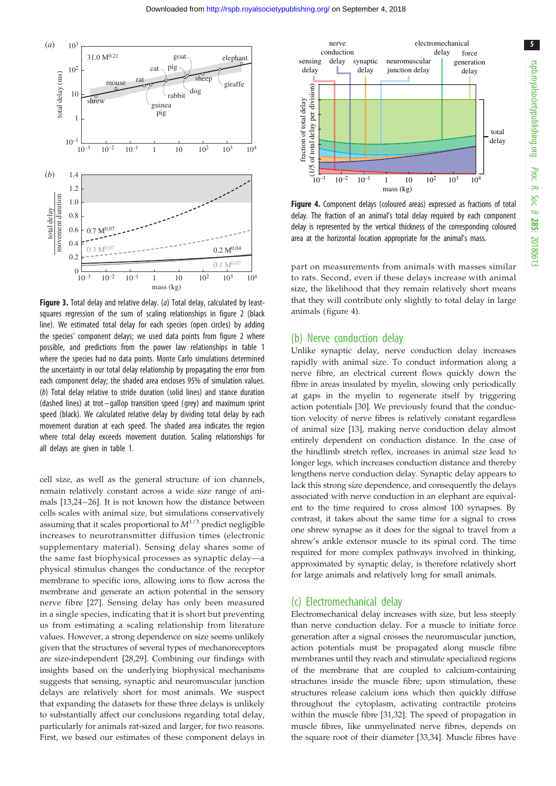<span id="page-4-0"></span>

Figure 3. Total delay and relative delay. (a) Total delay, calculated by leastsquares regression of the sum of scaling relationships in [figure 2](#page-2-0) (black line). We estimated total delay for each species (open circles) by adding the species' component delays; we used data points from [figure 2](#page-2-0) where possible, and predictions from the power law relationships in [table 1](#page-3-0) where the species had no data points. Monte Carlo simulations determined the uncertainty in our total delay relationship by propagating the error from each component delay; the shaded area encloses 95% of simulation values. (b) Total delay relative to stride duration (solid lines) and stance duration (dashed lines) at trot – gallop transition speed (grey) and maximum sprint speed (black). We calculated relative delay by dividing total delay by each movement duration at each speed. The shaded area indicates the region where total delay exceeds movement duration. Scaling relationships for all delays are given in [table 1](#page-3-0).

cell size, as well as the general structure of ion channels, remain relatively constant across a wide size range of animals [[13,](#page-6-0)[24](#page-7-0) – [26](#page-7-0)]. It is not known how the distance between cells scales with animal size, but simulations conservatively assuming that it scales proportional to  $M^{1/3}$  predict negligible increases to neurotransmitter diffusion times (electronic supplementary material). Sensing delay shares some of the same fast biophysical processes as synaptic delay—a physical stimulus changes the conductance of the receptor membrane to specific ions, allowing ions to flow across the membrane and generate an action potential in the sensory nerve fibre [\[27\]](#page-7-0). Sensing delay has only been measured in a single species, indicating that it is short but preventing us from estimating a scaling relationship from literature values. However, a strong dependence on size seems unlikely given that the structures of several types of mechanoreceptors are size-independent [[28,29](#page-7-0)]. Combining our findings with insights based on the underlying biophysical mechanisms suggests that sensing, synaptic and neuromuscular junction delays are relatively short for most animals. We suspect that expanding the datasets for these three delays is unlikely to substantially affect our conclusions regarding total delay, particularly for animals rat-sized and larger, for two reasons. First, we based our estimates of these component delays in



Figure 4. Component delays (coloured areas) expressed as fractions of total delay. The fraction of an animal's total delay required by each component delay is represented by the vertical thickness of the corresponding coloured area at the horizontal location appropriate for the animal's mass.

part on measurements from animals with masses similar to rats. Second, even if these delays increase with animal size, the likelihood that they remain relatively short means that they will contribute only slightly to total delay in large animals ( figure 4).

#### (b) Nerve conduction delay

Unlike synaptic delay, nerve conduction delay increases rapidly with animal size. To conduct information along a nerve fibre, an electrical current flows quickly down the fibre in areas insulated by myelin, slowing only periodically at gaps in the myelin to regenerate itself by triggering action potentials [\[30](#page-7-0)]. We previously found that the conduction velocity of nerve fibres is relatively constant regardless of animal size [[13\]](#page-6-0), making nerve conduction delay almost entirely dependent on conduction distance. In the case of the hindlimb stretch reflex, increases in animal size lead to longer legs, which increases conduction distance and thereby lengthens nerve conduction delay. Synaptic delay appears to lack this strong size dependence, and consequently the delays associated with nerve conduction in an elephant are equivalent to the time required to cross almost 100 synapses. By contrast, it takes about the same time for a signal to cross one shrew synapse as it does for the signal to travel from a shrew's ankle extensor muscle to its spinal cord. The time required for more complex pathways involved in thinking, approximated by synaptic delay, is therefore relatively short for large animals and relatively long for small animals.

#### (c) Electromechanical delay

Electromechanical delay increases with size, but less steeply than nerve conduction delay. For a muscle to initiate force generation after a signal crosses the neuromuscular junction, action potentials must be propagated along muscle fibre membranes until they reach and stimulate specialized regions of the membrane that are coupled to calcium-containing structures inside the muscle fibre; upon stimulation, these structures release calcium ions which then quickly diffuse throughout the cytoplasm, activating contractile proteins within the muscle fibre [[31,32\]](#page-7-0). The speed of propagation in muscle fibres, like unmyelinated nerve fibres, depends on the square root of their diameter [\[33](#page-7-0),[34\]](#page-7-0). Muscle fibres have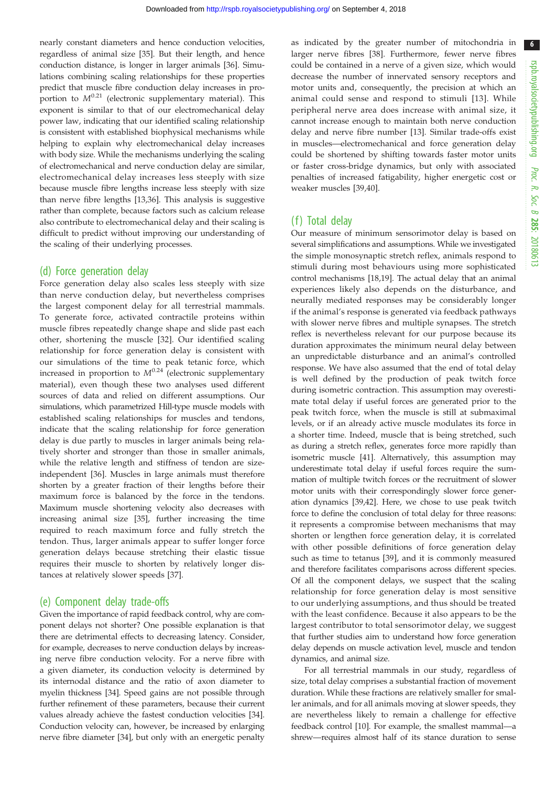nearly constant diameters and hence conduction velocities, regardless of animal size [[35\]](#page-7-0). But their length, and hence conduction distance, is longer in larger animals [\[36](#page-7-0)]. Simulations combining scaling relationships for these properties predict that muscle fibre conduction delay increases in proportion to  $M^{0.21}$  (electronic supplementary material). This exponent is similar to that of our electromechanical delay power law, indicating that our identified scaling relationship is consistent with established biophysical mechanisms while helping to explain why electromechanical delay increases with body size. While the mechanisms underlying the scaling of electromechanical and nerve conduction delay are similar, electromechanical delay increases less steeply with size because muscle fibre lengths increase less steeply with size than nerve fibre lengths [[13](#page-6-0)[,36](#page-7-0)]. This analysis is suggestive rather than complete, because factors such as calcium release also contribute to electromechanical delay and their scaling is difficult to predict without improving our understanding of the scaling of their underlying processes.

#### (d) Force generation delay

Force generation delay also scales less steeply with size than nerve conduction delay, but nevertheless comprises the largest component delay for all terrestrial mammals. To generate force, activated contractile proteins within muscle fibres repeatedly change shape and slide past each other, shortening the muscle [[32](#page-7-0)]. Our identified scaling relationship for force generation delay is consistent with our simulations of the time to peak tetanic force, which increased in proportion to  $M^{0.24}$  (electronic supplementary material), even though these two analyses used different sources of data and relied on different assumptions. Our simulations, which parametrized Hill-type muscle models with established scaling relationships for muscles and tendons, indicate that the scaling relationship for force generation delay is due partly to muscles in larger animals being relatively shorter and stronger than those in smaller animals, while the relative length and stiffness of tendon are sizeindependent [[36](#page-7-0)]. Muscles in large animals must therefore shorten by a greater fraction of their lengths before their maximum force is balanced by the force in the tendons. Maximum muscle shortening velocity also decreases with increasing animal size [[35](#page-7-0)], further increasing the time required to reach maximum force and fully stretch the tendon. Thus, larger animals appear to suffer longer force generation delays because stretching their elastic tissue requires their muscle to shorten by relatively longer distances at relatively slower speeds [\[37](#page-7-0)].

#### (e) Component delay trade-offs

Given the importance of rapid feedback control, why are component delays not shorter? One possible explanation is that there are detrimental effects to decreasing latency. Consider, for example, decreases to nerve conduction delays by increasing nerve fibre conduction velocity. For a nerve fibre with a given diameter, its conduction velocity is determined by its internodal distance and the ratio of axon diameter to myelin thickness [\[34](#page-7-0)]. Speed gains are not possible through further refinement of these parameters, because their current values already achieve the fastest conduction velocities [\[34](#page-7-0)]. Conduction velocity can, however, be increased by enlarging nerve fibre diameter [[34\]](#page-7-0), but only with an energetic penalty

as indicated by the greater number of mitochondria in larger nerve fibres [\[38](#page-7-0)]. Furthermore, fewer nerve fibres could be contained in a nerve of a given size, which would decrease the number of innervated sensory receptors and motor units and, consequently, the precision at which an animal could sense and respond to stimuli [[13](#page-6-0)]. While peripheral nerve area does increase with animal size, it cannot increase enough to maintain both nerve conduction delay and nerve fibre number [\[13\]](#page-6-0). Similar trade-offs exist in muscles—electromechanical and force generation delay could be shortened by shifting towards faster motor units or faster cross-bridge dynamics, but only with associated penalties of increased fatigability, higher energetic cost or weaker muscles [\[39](#page-7-0),[40\]](#page-7-0).

### (f) Total delay

Our measure of minimum sensorimotor delay is based on several simplifications and assumptions. While we investigated the simple monosynaptic stretch reflex, animals respond to stimuli during most behaviours using more sophisticated control mechanisms [[18,19\]](#page-7-0). The actual delay that an animal experiences likely also depends on the disturbance, and neurally mediated responses may be considerably longer if the animal's response is generated via feedback pathways with slower nerve fibres and multiple synapses. The stretch reflex is nevertheless relevant for our purpose because its duration approximates the minimum neural delay between an unpredictable disturbance and an animal's controlled response. We have also assumed that the end of total delay is well defined by the production of peak twitch force during isometric contraction. This assumption may overestimate total delay if useful forces are generated prior to the peak twitch force, when the muscle is still at submaximal levels, or if an already active muscle modulates its force in a shorter time. Indeed, muscle that is being stretched, such as during a stretch reflex, generates force more rapidly than isometric muscle [\[41](#page-7-0)]. Alternatively, this assumption may underestimate total delay if useful forces require the summation of multiple twitch forces or the recruitment of slower motor units with their correspondingly slower force generation dynamics [\[39,42\]](#page-7-0). Here, we chose to use peak twitch force to define the conclusion of total delay for three reasons: it represents a compromise between mechanisms that may shorten or lengthen force generation delay, it is correlated with other possible definitions of force generation delay such as time to tetanus [[39](#page-7-0)], and it is commonly measured and therefore facilitates comparisons across different species. Of all the component delays, we suspect that the scaling relationship for force generation delay is most sensitive to our underlying assumptions, and thus should be treated with the least confidence. Because it also appears to be the largest contributor to total sensorimotor delay, we suggest that further studies aim to understand how force generation delay depends on muscle activation level, muscle and tendon dynamics, and animal size.

For all terrestrial mammals in our study, regardless of size, total delay comprises a substantial fraction of movement duration. While these fractions are relatively smaller for smaller animals, and for all animals moving at slower speeds, they are nevertheless likely to remain a challenge for effective feedback control [\[10](#page-6-0)]. For example, the smallest mammal—a shrew—requires almost half of its stance duration to sense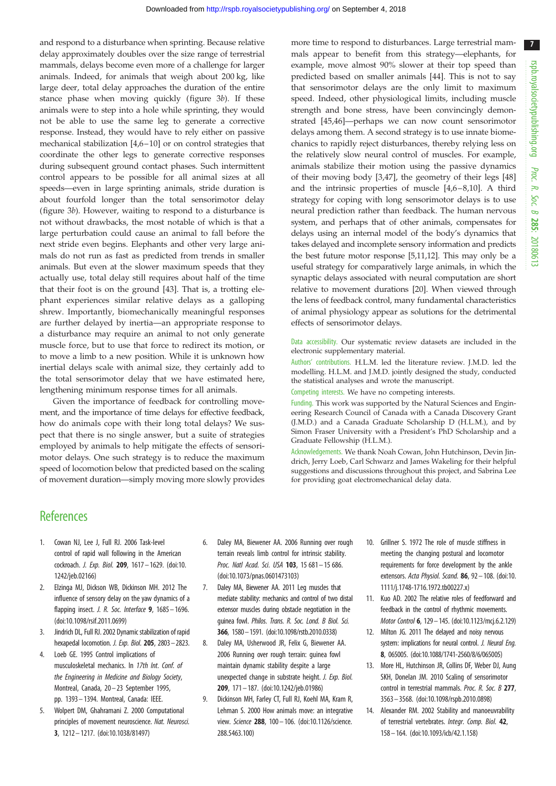<span id="page-6-0"></span>and respond to a disturbance when sprinting. Because relative delay approximately doubles over the size range of terrestrial mammals, delays become even more of a challenge for larger animals. Indeed, for animals that weigh about 200 kg, like large deer, total delay approaches the duration of the entire stance phase when moving quickly ([figure 3](#page-4-0)b). If these animals were to step into a hole while sprinting, they would not be able to use the same leg to generate a corrective response. Instead, they would have to rely either on passive mechanical stabilization [4,6–10] or on control strategies that coordinate the other legs to generate corrective responses during subsequent ground contact phases. Such intermittent control appears to be possible for all animal sizes at all speeds—even in large sprinting animals, stride duration is about fourfold longer than the total sensorimotor delay [\(figure 3](#page-4-0)b). However, waiting to respond to a disturbance is not without drawbacks, the most notable of which is that a large perturbation could cause an animal to fall before the next stride even begins. Elephants and other very large animals do not run as fast as predicted from trends in smaller animals. But even at the slower maximum speeds that they actually use, total delay still requires about half of the time that their foot is on the ground [\[43](#page-7-0)]. That is, a trotting elephant experiences similar relative delays as a galloping shrew. Importantly, biomechanically meaningful responses are further delayed by inertia—an appropriate response to a disturbance may require an animal to not only generate muscle force, but to use that force to redirect its motion, or to move a limb to a new position. While it is unknown how inertial delays scale with animal size, they certainly add to the total sensorimotor delay that we have estimated here, lengthening minimum response times for all animals.

Given the importance of feedback for controlling movement, and the importance of time delays for effective feedback, how do animals cope with their long total delays? We suspect that there is no single answer, but a suite of strategies employed by animals to help mitigate the effects of sensorimotor delays. One such strategy is to reduce the maximum speed of locomotion below that predicted based on the scaling of movement duration—simply moving more slowly provides more time to respond to disturbances. Large terrestrial mammals appear to benefit from this strategy—elephants, for example, move almost 90% slower at their top speed than predicted based on smaller animals [\[44](#page-7-0)]. This is not to say that sensorimotor delays are the only limit to maximum speed. Indeed, other physiological limits, including muscle strength and bone stress, have been convincingly demonstrated [[45,46\]](#page-7-0)—perhaps we can now count sensorimotor delays among them. A second strategy is to use innate biomechanics to rapidly reject disturbances, thereby relying less on the relatively slow neural control of muscles. For example, animals stabilize their motion using the passive dynamics of their moving body [3,[47\]](#page-7-0), the geometry of their legs [[48\]](#page-7-0) and the intrinsic properties of muscle [4,6–8,10]. A third strategy for coping with long sensorimotor delays is to use neural prediction rather than feedback. The human nervous system, and perhaps that of other animals, compensates for delays using an internal model of the body's dynamics that takes delayed and incomplete sensory information and predicts the best future motor response [5,11,12]. This may only be a useful strategy for comparatively large animals, in which the synaptic delays associated with neural computation are short relative to movement durations [\[20](#page-7-0)]. When viewed through the lens of feedback control, many fundamental characteristics of animal physiology appear as solutions for the detrimental effects of sensorimotor delays.

Data accessibility. Our systematic review datasets are included in the electronic supplementary material.

Authors' contributions. H.L.M. led the literature review. J.M.D. led the modelling. H.L.M. and J.M.D. jointly designed the study, conducted the statistical analyses and wrote the manuscript.

Competing interests. We have no competing interests.

Funding. This work was supported by the Natural Sciences and Engineering Research Council of Canada with a Canada Discovery Grant (J.M.D.) and a Canada Graduate Scholarship D (H.L.M.), and by Simon Fraser University with a President's PhD Scholarship and a Graduate Fellowship (H.L.M.).

Acknowledgements. We thank Noah Cowan, John Hutchinson, Devin Jindrich, Jerry Loeb, Carl Schwarz and James Wakeling for their helpful suggestions and discussions throughout this project, and Sabrina Lee for providing goat electromechanical delay data.

# **References**

- 1. Cowan NJ, Lee J, Full RJ. 2006 Task-level control of rapid wall following in the American cockroach. J. Exp. Biol. 209, 1617– 1629. ([doi:10.](http://dx.doi.org/10.1242/jeb.02166) [1242/jeb.02166](http://dx.doi.org/10.1242/jeb.02166))
- 2. Elzinga MJ, Dickson WB, Dickinson MH. 2012 The influence of sensory delay on the yaw dynamics of a flapping insect. J. R. Soc. Interface 9, 1685 - 1696. [\(doi:10.1098/rsif.2011.0699\)](http://dx.doi.org/10.1098/rsif.2011.0699)
- 3. Jindrich DL, Full RJ. 2002 Dynamic stabilization of rapid hexapedal locomotion. *J. Exp. Biol.* **205**, 2803 - 2823.
- 4. Loeb GE. 1995 Control implications of musculoskeletal mechanics. In 17th Int. Conf. of the Engineering in Medicine and Biology Society, Montreal, Canada, 20 – 23 September 1995, pp. 1393 – 1394. Montreal, Canada: IEEE.
- 5. Wolpert DM, Ghahramani Z. 2000 Computational principles of movement neuroscience. Nat. Neurosci. 3, 1212– 1217. ([doi:10.1038/81497](http://dx.doi.org/10.1038/81497))
- 6. Daley MA, Biewener AA. 2006 Running over rough terrain reveals limb control for intrinsic stability. Proc. Natl Acad. Sci. USA 103, 15 681-15 686. [\(doi:10.1073/pnas.0601473103\)](http://dx.doi.org/10.1073/pnas.0601473103)
- 7. Daley MA, Biewener AA. 2011 Leg muscles that mediate stability: mechanics and control of two distal extensor muscles during obstacle negotiation in the guinea fowl. Philos. Trans. R. Soc. Lond. B Biol. Sci. 366, 1580–1591. [\(doi:10.1098/rstb.2010.0338\)](http://dx.doi.org/10.1098/rstb.2010.0338)
- 8. Daley MA, Usherwood JR, Felix G, Biewener AA. 2006 Running over rough terrain: guinea fowl maintain dynamic stability despite a large unexpected change in substrate height. J. Exp. Biol. 209, 171 – 187. [\(doi:10.1242/jeb.01986\)](http://dx.doi.org/10.1242/jeb.01986)
- Dickinson MH, Farley CT, Full RJ, Koehl MA, Kram R, Lehman S. 2000 How animals move: an integrative view. Science 288, 100-106. ([doi:10.1126/science.](http://dx.doi.org/10.1126/science.288.5463.100) [288.5463.100](http://dx.doi.org/10.1126/science.288.5463.100))
- 10. Grillner S. 1972 The role of muscle stiffness in meeting the changing postural and locomotor requirements for force development by the ankle extensors. Acta Physiol. Scand. 86, 92 - 108. [\(doi:10.](http://dx.doi.org/10.1111/j.1748-1716.1972.tb00227.x) [1111/j.1748-1716.1972.tb00227.x\)](http://dx.doi.org/10.1111/j.1748-1716.1972.tb00227.x)
- 11. Kuo AD. 2002 The relative roles of feedforward and feedback in the control of rhythmic movements. Motor Control 6, 129–145. ([doi:10.1123/mcj.6.2.129](http://dx.doi.org/10.1123/mcj.6.2.129))
- 12. Milton JG. 2011 The delayed and noisy nervous system: implications for neural control. J. Neural Eng. 8, 065005. [\(doi:10.1088/1741-2560/8/6/065005\)](http://dx.doi.org/10.1088/1741-2560/8/6/065005)
- 13. More HL, Hutchinson JR, Collins DF, Weber DJ, Aung SKH, Donelan JM. 2010 Scaling of sensorimotor control in terrestrial mammals. Proc. R. Soc. B 277, 3563– 3568. ([doi:10.1098/rspb.2010.0898\)](http://dx.doi.org/10.1098/rspb.2010.0898)
- 14. Alexander RM. 2002 Stability and manoeuvrability of terrestrial vertebrates. Integr. Comp. Biol. 42, 158– 164. [\(doi:10.1093/icb/42.1.158\)](http://dx.doi.org/10.1093/icb/42.1.158)